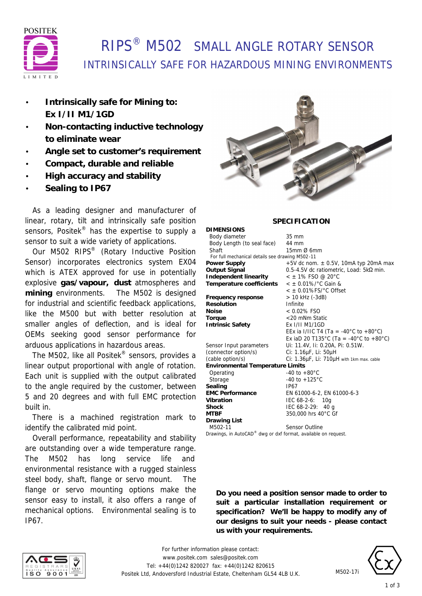

# RIPS® M502 SMALL ANGLE ROTARY SENSOR INTRINSICALLY SAFE FOR HAZARDOUS MINING ENVIRONMENTS

- **Intrinsically safe for Mining to: Ex I/II M1/1GD**
- **Non-contacting inductive technology to eliminate wear**
- **Angle set to customer's requirement**
- **Compact, durable and reliable**
- **High accuracy and stability**
- **Sealing to IP67**

 As a leading designer and manufacturer of linear, rotary, tilt and intrinsically safe position sensors, Positek<sup>®</sup> has the expertise to supply a sensor to suit a wide variety of applications.

 Our M502 RIPS® (Rotary Inductive Position Sensor) incorporates electronics system EX04 which is ATEX approved for use in potentially explosive **gas/vapour, dust** atmospheres and **mining** environments. The M502 is designed for industrial and scientific feedback applications, like the M500 but with better resolution at smaller angles of deflection, and is ideal for OEMs seeking good sensor performance for arduous applications in hazardous areas.

 The M502, like all Positek® sensors, provides a linear output proportional with angle of rotation. Each unit is supplied with the output calibrated to the angle required by the customer, between 5 and 20 degrees and with full EMC protection built in.

 There is a machined registration mark to identify the calibrated mid point.

 Overall performance, repeatability and stability are outstanding over a wide temperature range. The M502 has long service life and environmental resistance with a rugged stainless steel body, shaft, flange or servo mount. The flange or servo mounting options make the sensor easy to install, it also offers a range of mechanical options. Environmental sealing is to IP67.



### **SPECIFICATION**

| <b>DIMENSIONS</b>                                              |                                             |
|----------------------------------------------------------------|---------------------------------------------|
| Body diameter                                                  | $35 \text{ mm}$                             |
| Body Length (to seal face)                                     | 44 mm                                       |
| Shaft                                                          | $15$ mm $\varnothing$ 6mm                   |
| For full mechanical details see drawing M502-11                |                                             |
| <b>Power Supply</b>                                            | $+5V$ dc nom. $\pm$ 0.5V, 10mA typ 20mA max |
| <b>Output Signal</b>                                           | 0.5-4.5V dc ratiometric, Load: 5kΩ min.     |
| Independent linearity                                          | $<$ ± 1% FSO @ 20°C                         |
| Temperature coefficients                                       | $<$ ± 0.01%/ $^{\circ}$ C Gain &            |
|                                                                | $<$ ± 0.01%FS/ $^{\circ}$ C Offset          |
| Frequency response                                             | > 10 kHz (-3dB)                             |
| Resolution                                                     | Infinite                                    |
| <b>Noise</b>                                                   | $< 0.02\%$ FSO                              |
| Torque                                                         | <20 mNm Static                              |
| <b>Intrinsic Safety</b>                                        | Ex 1/11 M1/1GD                              |
|                                                                | EEx ia I/IIC T4 (Ta = -40°C to +80°C)       |
|                                                                | Ex iaD 20 T135°C (Ta = -40°C to +80°C)      |
| Sensor Input parameters                                        | Ui: 11.4V, Ii: 0.20A, Pi: 0.51W.            |
| (connector option/s)                                           | Ci: 1.16µF, Li: 50µH                        |
| (cable option/s)                                               | Ci: 1.36µF, Li: 710µH with 1km max. cable   |
| <b>Environmental Temperature Limits</b>                        |                                             |
| Operating                                                      | $-40$ to $+80^{\circ}$ C                    |
| Storage                                                        | -40 to $+125^{\circ}$ C                     |
| Sealing                                                        | IP67                                        |
| <b>EMC Performance</b>                                         | EN 61000-6-2, EN 61000-6-3                  |
| Vibration                                                      | IEC 68-2-6: 10g                             |
| <b>Shock</b>                                                   | IEC $68-2-29$ : 40 g                        |
| <b>MTBF</b>                                                    | 350,000 hrs 40°C Gf                         |
| <b>Drawing List</b>                                            |                                             |
| M502-11                                                        | <b>Sensor Outline</b>                       |
| Drawings, in AutoCAD® dwg or dxf format, available on request. |                                             |

**Do you need a position sensor made to order to suit a particular installation requirement or specification? We'll be happy to modify any of our designs to suit your needs - please contact us with your requirements.**





M502-17i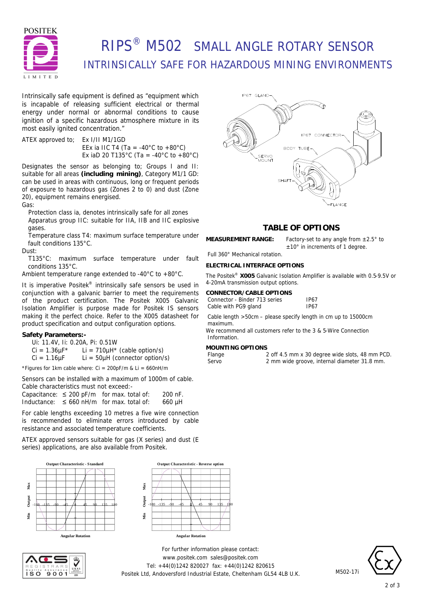

# RIPS® M502 SMALL ANGLE ROTARY SENSOR INTRINSICALLY SAFE FOR HAZARDOUS MINING ENVIRONMENTS

Intrinsically safe equipment is defined as *"equipment which is incapable of releasing sufficient electrical or thermal energy under normal or abnormal conditions to cause ignition of a specific hazardous atmosphere mixture in its most easily ignited concentration."*

ATEX approved to; Ex I/II M1/1GD EEx ia IIC T4 (Ta = -40 $^{\circ}$ C to +80 $^{\circ}$ C) Ex iaD 20 T135°C (Ta = -40°C to +80°C)

Designates the sensor as belonging to; Groups I and II: suitable for all areas **(including mining)**, Category M1/1 GD: can be used in areas with continuous, long or frequent periods of exposure to hazardous gas (Zones 2 to 0) and dust (Zone 20), equipment remains energised.

Gas:

Protection class ia, denotes intrinsically safe for all zones Apparatus group IIC: suitable for IIA, IIB and IIC explosive gases.

Temperature class T4: maximum surface temperature under fault conditions 135°C.

Dust:

T135°C: maximum surface temperature under fault conditions 135°C.

Ambient temperature range extended to -40°C to +80°C.

It is imperative Positek<sup>®</sup> intrinsically safe sensors be used in conjunction with a galvanic barrier to meet the requirements of the product certification. The Positek X005 Galvanic Isolation Amplifier is purpose made for Positek IS sensors making it the perfect choice. Refer to the X005 datasheet for product specification and output configuration options.

### **Safety Parameters:-**

- Ui: 11.4V, Ii: 0.20A, Pi: 0.51W
- $Ci = 1.36 \mu F^*$  Li = 710 $\mu$ H<sup>\*</sup> (cable option/s)

 $Ci = 1.16 \mu F$  Li = 50 $\mu$ H (connector option/s)

\*Figures for 1km cable where:  $Ci = 200pF/m$  &  $Li = 660nH/m$ 

Sensors can be installed with a maximum of 1000m of cable. Cable characteristics must not exceed:-

|  | Capacitance: $\leq$ 200 pF/m for max. total of: | 200 nF. |
|--|-------------------------------------------------|---------|
|  | Inductance: $\leq 660$ nH/m for max. total of:  | 660 µH  |

For cable lengths exceeding 10 metres a five wire connection is recommended to eliminate errors introduced by cable resistance and associated temperature coefficients.

ATEX approved sensors suitable for gas (X series) and dust (E series) applications, are also available from Positek.









### **TABLE OF OPTIONS**

±10° in increments of 1 degree.

**MEASUREMENT RANGE:** Factory-set to any angle from ±2.5° to

Full 360° Mechanical rotation.

### **ELECTRICAL INTERFACE OPTIONS**

The Positek® **X005** Galvanic Isolation Amplifier is available with 0.5-9.5V or 4-20mA transmission output options.

#### **CONNECTOR/CABLE OPTIONS** Conne

| ector - Binder 713 series | <b>IP67</b> |
|---------------------------|-------------|
| with PG9 gland            | IP67        |

Cable length >50cm – please specify length in cm up to 15000cm maximum.

We recommend all customers refer to the 3 & 5-Wire Connection **Information** 

## **MOUNTING OPTIONS**

Cable

| nge |  |  |
|-----|--|--|
| rvn |  |  |

2 off 4.5 mm x 30 degree wide slots, 48 mm PCD. Servo 2 mm wide groove, internal diameter 31.8 mm.

*For further information please contact:* www.positek.com sales@positek.com Tel: +44(0)1242 820027 fax: +44(0)1242 820615 Positek Ltd, Andoversford Industrial Estate, Cheltenham GL54 4LB U.K.



M502-17i